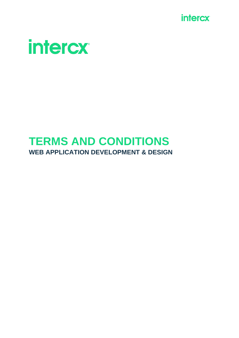



# **TERMS AND CONDITIONS WEB APPLICATION DEVELOPMENT & DESIGN**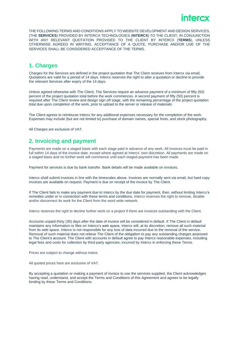

THE FOLLOWING TERMS AND CONDITIONS APPLY TO WEBSITE DEVELOPMENT AND DESIGN SERVICES, (THE **SERVICES**) PROVIDED BY INTERCX TECHNOLOGIES (**INTERCX**) TO THE CLIENT, IN CONJUNCTION WITH ANY RELEVANT QUOTATION PROVIDED TO THE CLIENT BY INTERCX (**TERMS**), UNLESS OTHERWISE AGREED IN WRITING. ACCEPTANCE OF A QUOTE, PURCHASE AND/OR USE OF THE SERVICES SHALL BE CONSIDERED ACCEPTANCE OF THE TERMS.

#### **1. Charges**

Charges for the Services are defined in the project quotation that The Client receives from Intercx via email. Quotations are valid for a period of 14 days. Intercx reserves the right to alter a quotation or decline to provide the relevant Services after expiry of the 14 days.

Unless agreed otherwise with The Client, The Services require an advance payment of a minimum of fifty (50) percent of the project quotation total before the work commences. A second payment of fifty (50) percent is required after The Client review and design sign off stage, with the remaining percentage of the project quotation total due upon completion of the work, prior to upload to the server or release of materials.

The Client agrees to reimburse Intercx for any additional expenses necessary for the completion of the work. Expenses may include (but are not limited to) purchase of domain names, special fonts, and stock photography.

All Charges are exclusive of VAT.

## **2. Invoicing and payment**

Payments are made on a staged basis with each stage paid in advance of any work. All invoices must be paid in full within 14 days of the invoice date, except where agreed at Intercx' own discretion. All payments are made on a staged basis and no further work will commence until each staged-payment has been made.

Payment for services is due by bank transfer. Bank details will be made available on invoices.

Intercx shall submit invoices in line with the timescales above. Invoices are normally sent via email, but hard copy invoices are available on request. Payment is due on receipt of the invoice by The Client.

If The Client fails to make any payment due to Intercx by the due date for payment, then, without limiting Intercx's remedies under or in connection with these terms and conditions, Intercx reserves the right to remove, disable and/or disconnect its work for the Client from the word wide network.

Intercx reserves the right to decline further work on a project if there are invoices outstanding with the Client.

Accounts unpaid thirty (30) days after the date of invoice will be considered in default. If The Client in default maintains any information or files on Intercx's web space, Intercx will, at its discretion, remove all such material from its web space. Intercx is not responsible for any loss of data incurred due to the removal of the service. Removal of such material does not relieve The Client of the obligation to pay any outstanding charges assessed to The Client's account. The Client with accounts in default agree to pay Intercx reasonable expenses, including legal fees and costs for collection by third-party agencies, incurred by Intercx in enforcing these Terms.

Prices are subject to change without notice.

All quoted prices here are exclusive of VAT.

By accepting a quotation or making a payment of invoice to use the services supplied, the Client acknowledges having read, understand, and accept the Terms and Conditions of this Agreement and agrees to be legally binding by these Terms and Conditions.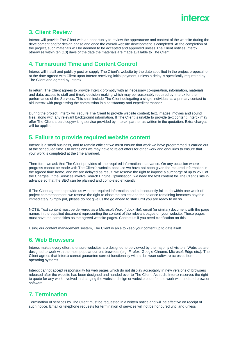

#### **3. Client Review**

Intercx will provide The Client with an opportunity to review the appearance and content of the website during the development and/or design phase and once the overall website development is completed. At the completion of the project, such materials will be deemed to be accepted and approved unless The Client notifies Intercx otherwise within ten (10) days of the date the materials are made available to The Client.

#### **4. Turnaround Time and Content Control**

Intercx will install and publicly post or supply The Client's website by the date specified in the project proposal, or at the date agreed with Client upon Intercx receiving initial payment, unless a delay is specifically requested by The Client and agreed by Intercx.

In return, The Client agrees to provide Intercx promptly with all necessary co-operation, information, materials and data, access to staff and timely decision-making which may be reasonably required by Intercx for the performance of the Services. This shall include The Client delegating a single individual as a primary [contact](https://www.wombatcreative.co.uk/contact/) to aid Intercx with progressing the commission in a satisfactory and expedient manner.

During the project, Intercx will require The Client to provide website content; text, images, movies and sound files, along with any relevant background information. If The Client is unable to provide text content, Intercx may offer The Client a paid copywriting service provided by Intercx' partner as written in the quotation. Extra charges will be applied.

#### **5. Failure to provide required website content**

Intercx is a small business, and to remain efficient we must ensure that work we have programmed is carried out at the scheduled time. On occasions we may have to reject offers for other work and enquiries to ensure that your work is completed at the time arranged.

Therefore, we ask that The Client provides all the required information in advance. On any occasion where progress cannot be made with The Client's website because we have not been given the required information in the agreed time frame, and we are delayed as result, we reserve the right to impose a surcharge of up to 25% of the Charges. If the Services involve Search Engine Optimisation, we need the text content for The Client's site in advance so that the SEO can be planned and completed efficiently.

If The Client agrees to provide us with the required information and subsequently fail to do within one week of project commencement, we reserve the right to close the project and the balance remaining becomes payable immediately. Simply put, please do not give us the go ahead to start until you are ready to do so.

NOTE: Text content must be delivered as a Microsoft Word (.docx file), email (or similar) document with the page names in the supplied document representing the content of the relevant pages on your website. These pages must have the same titles as the agreed website pages. Contact us if you need clarification on this.

Using our content management system, The Client is able to keep your content up to date itself.

#### **6. Web Browsers**

Intercx makes every effort to ensure websites are designed to be viewed by the majority of visitors. Websites are designed to work with the most popular current browsers (e.g. Firefox, Google Chrome, Microsoft Edge etc.). The Client agrees that Intercx cannot guarantee correct functionality with all browser software across different operating systems.

Intercx cannot accept responsibility for web pages which do not display acceptably in new versions of browsers released after the website has been designed and handed over to The Client. As such, Intercx reserves the right to quote for any work involved in changing the website design or website code for it to work with updated browser software.

## **7. Termination**

Termination of services by The Client must be requested in a written notice and will be effective on receipt of such notice. Email or telephone requests for termination of services will not be honoured until and unless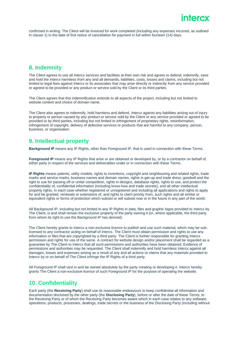## intercx

confirmed in writing. The Client will be invoiced for work completed (including any expenses incurred, as outlined in clause 1) to the date of first notice of cancellation for payment in full within fourteen (14) days.

#### **8. Indemnity**

The Client agrees to use all Intercx services and facilities at their own risk and agrees to defend, indemnify, save and hold the Intercx harmless from any and all demands, liabilities, costs, losses and claims, including but not limited to legal fees against Intercx or its associates that may arise directly or indirectly from any service provided or agreed to be provided or any product or service sold by the Client or its third parties.

The Client agrees that this indemnification extends to all aspects of the project, including but not limited to website content and choice of domain name.

The Client also agrees to indemnify, hold harmless and defend, Intercx against any liabilities arising out of injury to property or person caused by any product or service sold by the Client or any service provided or agreed to be provided or by third parties, including but not limited to infringement of proprietary rights, misinformation, infringement of copyright, delivery of defective services or products that are harmful to any company, person, business, or organisation.

## **9. Intellectual property**

**Background IP** means any IP Rights, other than Foreground IP, that is used in connection with these Terms.

**Foreground IP** means any IP Rights that arise or are obtained or developed by, or by a contractor on behalf of, either party in respect of the services and deliverables under or in connection with these Terms.

**IP Rights** means patents, utility models, rights to inventions, copyright and neighbouring and related rights, trade marks and service marks, business names and domain names, rights in get-up and trade dress, goodwill and the right to sue for passing off or unfair competition, rights in designs, database rights, rights to use, and protect the confidentiality of, confidential information (including know-how and trade secrets), and all other intellectual property rights, in each case whether registered or unregistered and including all applications and rights to apply for and be granted, renewals or extensions of, and rights to claim priority from, such rights and all similar or equivalent rights or forms of protection which subsist or will subsist now or in the future in any part of the world.

All Background IP, including but not limited to any IP Rights in data, files and graphic logos provided to Intercx by The Client, is and shall remain the exclusive property of the party owning it (or, where applicable, the third party from whom its right to use the Background IP has derived).

The Client hereby grants to Intercx a non-exclusive licence to publish and use such material, which may be sublicensed to any contractor acting on behalf of Intercx. The Client must obtain permission and rights to use any information or files that are copyrighted by a third party. The Client is further responsible for granting Intercx permission and rights for use of the same. A contract for website design and/or placement shall be regarded as a guarantee by The Client to Intercx that all such permissions and authorities have been obtained. Evidence of permissions and authorities may be requested. The Client shall indemnify and hold harmless Intercx against all damages, losses and expenses arising as a result of any and all actions or claims that any materials provided to Intercx by or on behalf of The Client infringe the IP Rights of a third party.

All Foreground IP shall vest in and be owned absolutely by the party creating or developing it. Intercx hereby grants The Client a non-exclusive licence of such Foreground IP for the purpose of operating the website.

#### **10. Confidentiality**

Each party (the **Receiving Party**) shall use its reasonable endeavours to keep confidential all information and documentation disclosed by the other party (the **Disclosing Party**), before or after the date of these Terms, to the Receiving Party or of which the Receiving Party becomes aware which in each case relates to any software, operations, products, processes, dealings, trade secrets or the business of the Disclosing Party (including without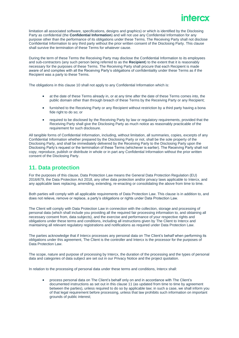limitation all associated software, specifications, designs and graphics) or which is identified by the Disclosing Party as confidential (the **Confidential Information**) and will not use any Confidential Information for any purpose other than the performance of its obligations under these Terms. The Receiving Party shall not disclose Confidential Information to any third party without the prior written consent of the Disclosing Party. This clause shall survive the termination of these Terms for whatever cause.

During the term of these Terms the Receiving Party may disclose the Confidential Information to its employees and sub-contractors (any such person being referred to as the **Recipient**) to the extent that it is reasonably necessary for the purposes of these Terms. The Receiving Party shall procure that each Recipient is made aware of and complies with all the Receiving Party's obligations of confidentiality under these Terms as if the Recipient was a party to these Terms.

The obligations in this clause 10 shall not apply to any Confidential Information which is:

- at the date of these Terms already in, or at any time after the date of these Terms comes into, the public domain other than through breach of these Terms by the Receiving Party or any Recipient;
- furnished to the Receiving Party or any Recipient without restriction by a third party having a bona fide right to do so; or
- required to be disclosed by the Receiving Party by law or regulatory requirements, provided that the Receiving Party shall give the Disclosing Party as much notice as reasonably practicable of the requirement for such disclosure.

All tangible forms of Confidential Information, including, without limitation, all summaries, copies, excerpts of any Confidential Information whether prepared by the Disclosing Party or not, shall be the sole property of the Disclosing Party, and shall be immediately delivered by the Receiving Party to the Disclosing Party upon the Disclosing Party's request or the termination of these Terms (whichever is earlier). The Receiving Party shall not copy, reproduce, publish or distribute in whole or in part any Confidential Information without the prior written consent of the Disclosing Party.

#### **11. Data protection**

For the purposes of this clause, Data Protection Law means the General Data Protection Regulation (EU) 2016/679, the Data Protection Act 2018, any other data protection and/or privacy laws applicable to Intercx, and any applicable laws replacing, amending, extending, re-enacting or consolidating the above from time to time.

Both parties will comply with all applicable requirements of Data Protection Law. This clause is in addition to, and does not relieve, remove or replace, a party's obligations or rights under Data Protection Law.

The Client will comply with Data Protection Law in connection with the collection, storage and processing of personal data (which shall include you providing all the required fair processing information to, and obtaining all necessary consent from, data subjects), and the exercise and performance of your respective rights and obligations under these terms and conditions, including all instructions given by The Client to Intercx and maintaining all relevant regulatory registrations and notifications as required under Data Protection Law.

The parties acknowledge that if Intercx processes any personal data on The Client's behalf when performing its obligations under this agreement, The Client is the controller and Intercx is the processor for the purposes of Data Protection Law.

The scope, nature and purpose of processing by Intercx, the duration of the processing and the types of personal data and categories of data subject are set out in our Privacy Notice and the project quotation.

In relation to the processing of personal data under these terms and conditions, Intercx shall:

• process personal data on The Client's behalf only on and in accordance with The Client's documented instructions as set out in this clause 11 (as updated from time to time by agreement between the parties), unless required to do so by applicable law; in such a case, we shall inform you of that legal requirement before processing, unless that law prohibits such information on important grounds of public interest;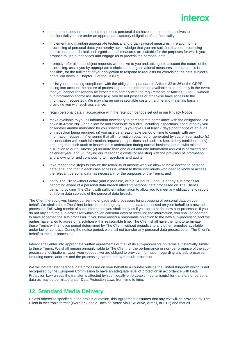

- ensure that persons authorised to process personal data have committed themselves to confidentiality or are under an appropriate statutory obligation of confidentiality;
- implement and maintain appropriate technical and organisational measures in relation to the processing of personal data; you hereby acknowledge that you are satisfied that our processing operations and technical and organisational measures are suitable for the purposes for which you propose to use [our services](https://www.wombatcreative.co.uk/our-services/) and engage us to process the personal data;
- promptly refer all data subject requests we receive to you and, taking into account the nature of the processing, assist you by appropriate technical and organisational measures, insofar as this is possible, for the fulfilment of your obligation to respond to requests for exercising the data subject's rights laid down in Chapter III of the GDPR;
- assist you in ensuring compliance with the obligations pursuant to Articles 32 to 36 of the GDPR, taking into account the nature of processing and the information available to us and only in the event that you cannot reasonably be expected to comply with the requirements of Articles 32 to 36 without our information and/or assistance (e.g. you do not possess or otherwise have access to the information requested). We may charge our reasonable costs on a time and materials basis in providing you with such assistance;
- retain personal data in accordance with the retention periods set out in our Privacy Notice;
- make available to you all information necessary to demonstrate compliance with the obligations laid down in Article 28(3) and allow for and contribute to audits, including inspections, conducted by you or another auditor mandated by you provided: (i) you give us at least 7 days prior notice of an audit or inspection being required; (ii) you give us a reasonable period of time to comply with any information request; (iii) ensuring that all information obtained or generated by you or your auditor(s) in connection with such information requests, inspections and audits is kept strictly confidential; (iv) ensuring that such audit or inspection is undertaken during normal business hours, with minimal disruption to our business; (v) no more than one audit and one information request is permitted per calendar year; and (vi) paying our reasonable costs for assisting with the provision of information and allowing for and contributing to inspections and audits;
- take reasonable steps to ensure the reliability of anyone who we allow to have access to personal data, ensuring that in each case access is limited to those individuals who need to know or access the relevant personal data, as necessary for the purposes of the Terms; and
- notify The Client without delay (and if possible, within 24 hours) upon us or any sub-processor becoming aware of a personal data breach affecting personal data processed on The Client's behalf, providing The Client with sufficient information to allow you to meet any obligations to report or inform data subjects of the personal data breach.

The Client hereby gives Intercx consent to engage sub-processors for processing of personal data on your behalf. We shall inform The Client before transferring any personal data processed on your behalf to a new subprocessor. Following receipt of such information you shall notify us if you object to the new sub-processor. If you do not object to the sub-processor within seven calendar days of receiving the information, you shall be deemed to have accepted the sub-processor. If you have raised a reasonable objection to the new sub-processor, and the parties have failed to agree on a solution within reasonable time, The Client shall have the right to terminate these Terms with a notice period determined by The Client, without prejudice to any other remedies available under law or contract. During the notice period, we shall not transfer any personal data processed on The Client's behalf to the sub-processor.

Intercx shall enter into appropriate written agreements with all of its sub-processors on terms substantially similar to these Terms. We shall remain primarily liable to The Client for the performance or non-performance of the subprocessors' obligations. Upon your request, we are obliged to provide information regarding any sub-processor, including name, address and the processing carried out by the sub-processor.

We will not transfer personal data processed on your behalf to a country outside the United Kingdom which is not recognised by the European Commission to have an adequate level of protection in accordance with Data Protection Law unless the transfer is affected by such legally enforceable mechanism(s) for transfers of personal data as may be permitted under Data Protection Laws from time to time.

#### **12. Standard Media Delivery**

Unless otherwise specified in the project quotation, this Agreement assumes that any text will be provided by The Client in electronic format (Word or Google Docs delivered via USB drive, e-mail, or FTP) and that all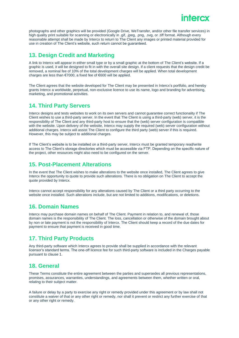photographs and other graphics will be provided (Google Drive, WeTransfer, and/or other file transfer services) in high quality print suitable for scanning or electronically in .gif, .jpeg, .png, .svg, or .tiff format. Although every reasonable attempt shall be made by Intercx to return to The Client any images or printed material provided for use in creation of The Client's website, such return cannot be guaranteed.

## **13. Design Credit and Marketing**

A link to Intercx will appear in either small type or by a small graphic at the bottom of The Client's website. If a graphic is used, it will be designed to fit in with the overall site design. If a client requests that the design credit be removed, a nominal fee of 10% of the total development charges will be applied. When total development charges are less than €7000, a fixed fee of €600 will be applied.

The Client agrees that the website developed for The Client may be presented in Intercx's portfolio, and hereby grants Intercx a worldwide, perpetual, non-exclusive licence to use its name, logo and branding for advertising, marketing, and promotional activities.

## **14. Third Party Servers**

Intercx designs and tests websites to work on its own servers and cannot guarantee correct functionality if The Client wishes to use a third-party server. In the event that The Client is using a third-party (web) server, it is the responsibility of The Client and any third-party host to ensure that the (web) server configuration is compatible with the website. Upon delivery of the website, Intercx may supply the required (web) server configuration without additional charges. Intercx will assist The Client to configure the third party (web) server if this is required. However, this may be subject to additional charges.

If The Client's website is to be installed on a third-party server, Intercx must be granted temporary read/write access to The Client's storage directories which must be accessible via FTP. Depending on the specific nature of the project, other resources might also need to be configured on the server.

#### **15. Post-Placement Alterations**

In the event that The Client wishes to make alterations to the website once installed, The Client agrees to give Intercx the opportunity to quote to provide such alterations. There is no obligation on The Client to accept the quote provided by Intercx.

Intercx cannot accept responsibility for any alterations caused by The Client or a third party occurring to the website once installed. Such alterations include, but are not limited to additions, modifications, or deletions.

#### **16. Domain Names**

Intercx may purchase domain names on behalf of The Client. Payment in relation to, and renewal of, those domain names is the responsibility of The Client. The loss, cancellation or otherwise of the domain brought about by non or late payment is not the responsibility of Intercx. The Client should keep a record of the due dates for payment to ensure that payment is received in good time.

## **17. Third Party Products**

Any third-party software which Intercx agrees to provide shall be supplied in accordance with the relevant licensor's standard terms. The one-off licence fee for such third-party software is included in the Charges payable pursuant to clause 1.

#### **18. General**

These Terms constitute the entire agreement between the parties and supersedes all previous representations, promises, assurances, warranties, understandings, and agreements between them, whether written or oral, relating to their subject matter.

A failure or delay by a party to exercise any right or remedy provided under this agreement or by law shall not constitute a waiver of that or any other right or remedy, nor shall it prevent or restrict any further exercise of that or any other right or remedy.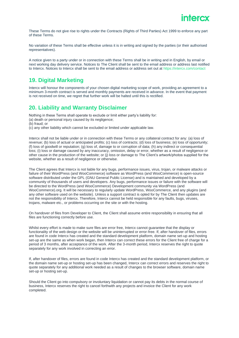These Terms do not give rise to rights under the Contracts (Rights of Third Parties) Act 1999 to enforce any part of these Terms.

No variation of these Terms shall be effective unless it is in writing and signed by the parties (or their authorised representatives).

A notice given to a party under or in connection with these Terms shall be in writing and in English, by email or next working day delivery service. Notices to The Client shall be sent to the email address or address last notified to Intercx. Notices to Intercx shall be sent to the email address or address set out at https://intercx.com/contact

## **19. Digital Marketing**

Intercx will honour the components of your chosen digital marketing scope of work, providing an agreement to a minimum 3-month contract is served and monthly payments are received in advance. In the event that payment is not received on time, we regret that further work will be halted until this is rectified.

## **20. Liability and Warranty Disclaimer**

Nothing in these Terms shall operate to exclude or limit either party's liability for: (a) death or personal injury caused by its negligence;

(b) fraud; or

(c) any other liability which cannot be excluded or limited under applicable law.

Intercx shall not be liable under or in connection with these Terms or any collateral contract for any: (a) loss of revenue; (b) loss of actual or anticipated profits; (c) loss of contracts; (d) loss of business; (e) loss of opportunity; (f) loss of goodwill or reputation; (g) loss of, damage to or corruption of data; (h) any indirect or consequential loss; (i) loss or damage caused by any inaccuracy, omission, delay or error, whether as a result of negligence or other cause in the production of the website; or (j) loss or damage to The Client's artwork/photos supplied for the website, whether as a result of negligence or otherwise.

The Client agrees that Intercx is not liable for any bugs, performance issues, virus, trojan, or malware attacks or failure of their WordPress (and WooCommerce) software as WordPress (and WooCommerce) is open-source software distributed under the GPL (GNU General Public License) and is maintained and developed by a community of thousands of users and developers. Any bugs, performance issues or failure with the software will be directed to the WordPress (and WooCommerce) Development community via WordPress (and WooCommerce).org. It will be necessary to regularly update WordPress, WooCommerce, and any plugins (and any other software used on the website). Unless a support contract is opted for by The Client then updates are not the responsibility of Intercx. Therefore, Intercx cannot be held responsible for any faults, bugs, viruses, trojans, malware etc., or problems occurring on the site or with the hosting.

On handover of files from Developer to Client, the Client shall assume entire responsibility in ensuring that all files are functioning correctly before use.

Whilst every effort is made to make sure files are error free, Intercx cannot guarantee that the display or functionality of the web design or the website will be uninterrupted or error-free. If, after handover of files, errors are found in code Intercx has created and the standard development platform, domain name set-up and hosting set-up are the same as when work began, then Intercx can correct these errors for the Client free of charge for a period of 3 months, after acceptance of the work. After the 3-month period, Intercx reserves the right to quote separately for any work involved in correcting an error.

If, after handover of files, errors are found in code Intercx has created and the standard development platform, or the domain name set-up or hosting set-up has been changed, Intercx can correct errors and reserves the right to quote separately for any additional work needed as a result of changes to the browser software, domain name set-up or hosting set-up.

Should the Client go into compulsory or involuntary liquidation or cannot pay its debts in the normal course of business, Intercx reserves the right to cancel forthwith any projects and invoice the Client for any work completed.